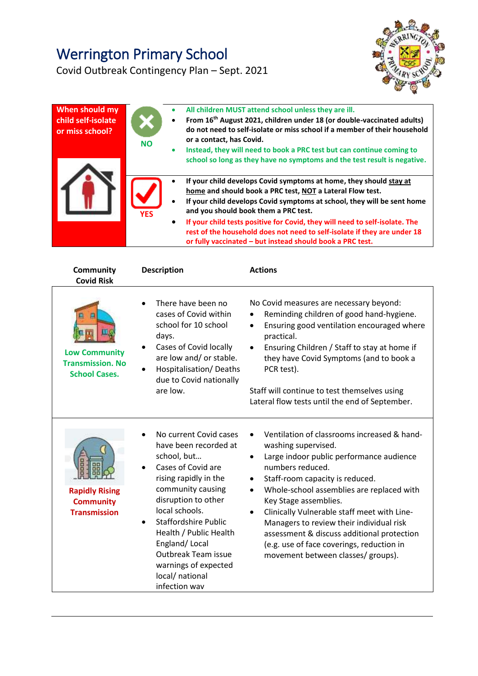## Werrington Primary School



Covid Outbreak Contingency Plan – Sept. 2021

| When should my<br>child self-isolate<br>or miss school? | ۰<br><b>NO</b><br>$\bullet$ | All children MUST attend school unless they are ill.<br>From 16 <sup>th</sup> August 2021, children under 18 (or double-vaccinated adults)<br>do not need to self-isolate or miss school if a member of their household<br>or a contact, has Covid.<br>Instead, they will need to book a PRC test but can continue coming to<br>school so long as they have no symptoms and the test result is negative.                                                                   |
|---------------------------------------------------------|-----------------------------|----------------------------------------------------------------------------------------------------------------------------------------------------------------------------------------------------------------------------------------------------------------------------------------------------------------------------------------------------------------------------------------------------------------------------------------------------------------------------|
|                                                         | <b>YFS</b><br>$\bullet$     | If your child develops Covid symptoms at home, they should stay at<br>home and should book a PRC test, NOT a Lateral Flow test.<br>If your child develops Covid symptoms at school, they will be sent home<br>and you should book them a PRC test.<br>If your child tests positive for Covid, they will need to self-isolate. The<br>rest of the household does not need to self-isolate if they are under 18<br>or fully vaccinated - but instead should book a PRC test. |

| Community<br><b>Covid Risk</b>                                          | <b>Description</b>                                                                                                                                                                                                                                                                                                                       | <b>Actions</b>                                                                                                                                                                                                                                                                                                                                                                                                                                                                                         |
|-------------------------------------------------------------------------|------------------------------------------------------------------------------------------------------------------------------------------------------------------------------------------------------------------------------------------------------------------------------------------------------------------------------------------|--------------------------------------------------------------------------------------------------------------------------------------------------------------------------------------------------------------------------------------------------------------------------------------------------------------------------------------------------------------------------------------------------------------------------------------------------------------------------------------------------------|
| <b>Low Community</b><br><b>Transmission. No</b><br><b>School Cases.</b> | There have been no<br>cases of Covid within<br>school for 10 school<br>days.<br>Cases of Covid locally<br>are low and/ or stable.<br>Hospitalisation/Deaths<br>due to Covid nationally<br>are low.                                                                                                                                       | No Covid measures are necessary beyond:<br>Reminding children of good hand-hygiene.<br>Ensuring good ventilation encouraged where<br>$\bullet$<br>practical.<br>Ensuring Children / Staff to stay at home if<br>$\bullet$<br>they have Covid Symptoms (and to book a<br>PCR test).<br>Staff will continue to test themselves using<br>Lateral flow tests until the end of September.                                                                                                                   |
| <b>Rapidly Rising</b><br><b>Community</b><br><b>Transmission</b>        | No current Covid cases<br>have been recorded at<br>school, but<br>Cases of Covid are<br>rising rapidly in the<br>community causing<br>disruption to other<br>local schools.<br><b>Staffordshire Public</b><br>Health / Public Health<br>England/Local<br>Outbreak Team issue<br>warnings of expected<br>local/ national<br>infection way | Ventilation of classrooms increased & hand-<br>washing supervised.<br>Large indoor public performance audience<br>٠<br>numbers reduced.<br>Staff-room capacity is reduced.<br>Whole-school assemblies are replaced with<br>$\bullet$<br>Key Stage assemblies.<br>Clinically Vulnerable staff meet with Line-<br>$\bullet$<br>Managers to review their individual risk<br>assessment & discuss additional protection<br>(e.g. use of face coverings, reduction in<br>movement between classes/ groups). |